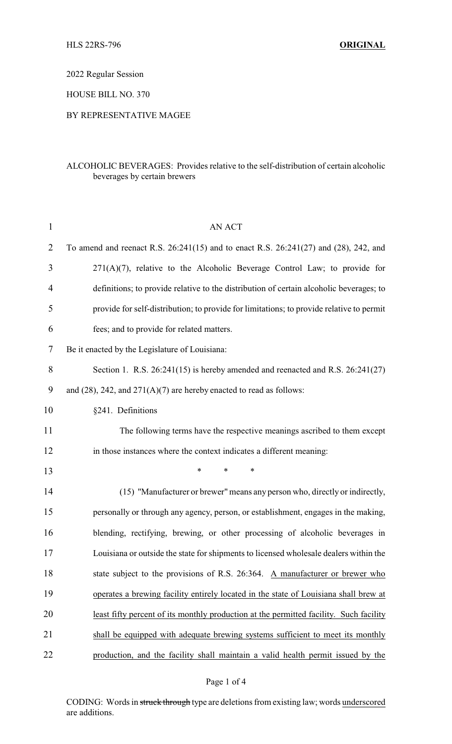2022 Regular Session

HOUSE BILL NO. 370

## BY REPRESENTATIVE MAGEE

## ALCOHOLIC BEVERAGES: Provides relative to the self-distribution of certain alcoholic beverages by certain brewers

| $\mathbf{1}$   | AN ACT                                                                                   |
|----------------|------------------------------------------------------------------------------------------|
| $\overline{2}$ | To amend and reenact R.S. 26:241(15) and to enact R.S. 26:241(27) and (28), 242, and     |
| 3              | $271(A)(7)$ , relative to the Alcoholic Beverage Control Law; to provide for             |
| $\overline{4}$ | definitions; to provide relative to the distribution of certain alcoholic beverages; to  |
| 5              | provide for self-distribution; to provide for limitations; to provide relative to permit |
| 6              | fees; and to provide for related matters.                                                |
| 7              | Be it enacted by the Legislature of Louisiana:                                           |
| 8              | Section 1. R.S. $26:241(15)$ is hereby amended and reenacted and R.S. $26:241(27)$       |
| 9              | and $(28)$ , 242, and $271(A)(7)$ are hereby enacted to read as follows:                 |
| 10             | §241. Definitions                                                                        |
| 11             | The following terms have the respective meanings ascribed to them except                 |
| 12             | in those instances where the context indicates a different meaning:                      |
| 13             | *<br>*<br>*                                                                              |
| 14             | (15) "Manufacturer or brewer" means any person who, directly or indirectly,              |
| 15             | personally or through any agency, person, or establishment, engages in the making,       |
| 16             | blending, rectifying, brewing, or other processing of alcoholic beverages in             |
| 17             | Louisiana or outside the state for shipments to licensed wholesale dealers within the    |
| 18             | state subject to the provisions of R.S. 26:364. A manufacturer or brewer who             |
| 19             | operates a brewing facility entirely located in the state of Louisiana shall brew at     |
| 20             | least fifty percent of its monthly production at the permitted facility. Such facility   |
| 21             | shall be equipped with adequate brewing systems sufficient to meet its monthly           |
| 22             | production, and the facility shall maintain a valid health permit issued by the          |

### Page 1 of 4

CODING: Words in struck through type are deletions from existing law; words underscored are additions.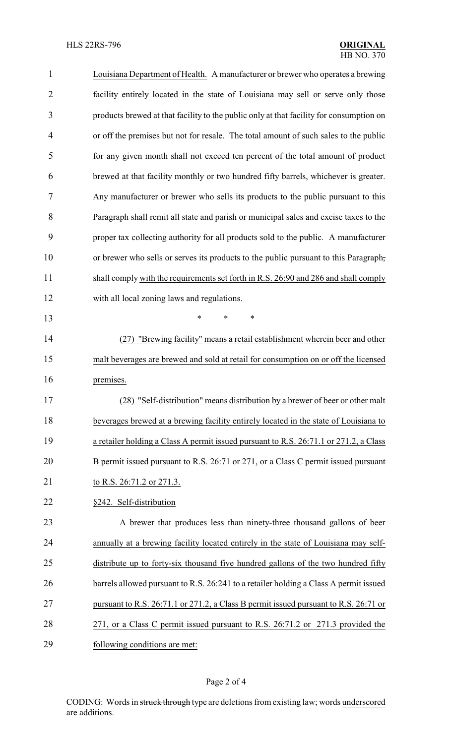| $\mathbf{1}$   | Louisiana Department of Health. A manufacturer or brewer who operates a brewing         |
|----------------|-----------------------------------------------------------------------------------------|
| $\overline{2}$ | facility entirely located in the state of Louisiana may sell or serve only those        |
| 3              | products brewed at that facility to the public only at that facility for consumption on |
| 4              | or off the premises but not for resale. The total amount of such sales to the public    |
| 5              | for any given month shall not exceed ten percent of the total amount of product         |
| 6              | brewed at that facility monthly or two hundred fifty barrels, whichever is greater.     |
| 7              | Any manufacturer or brewer who sells its products to the public pursuant to this        |
| 8              | Paragraph shall remit all state and parish or municipal sales and excise taxes to the   |
| 9              | proper tax collecting authority for all products sold to the public. A manufacturer     |
| 10             | or brewer who sells or serves its products to the public pursuant to this Paragraph,    |
| 11             | shall comply with the requirements set forth in R.S. 26:90 and 286 and shall comply     |
| 12             | with all local zoning laws and regulations.                                             |
| 13             | $\ast$<br>$\ast$<br>*                                                                   |
| 14             | "Brewing facility" means a retail establishment wherein beer and other<br>(27)          |
| 15             | malt beverages are brewed and sold at retail for consumption on or off the licensed     |
| 16             | premises.                                                                               |
| 17             | "Self-distribution" means distribution by a brewer of beer or other malt<br>(28)        |
| 18             | beverages brewed at a brewing facility entirely located in the state of Louisiana to    |
| 19             | a retailer holding a Class A permit issued pursuant to R.S. 26:71.1 or 271.2, a Class   |
| 20             | B permit issued pursuant to R.S. 26:71 or 271, or a Class C permit issued pursuant      |
| 21             | to R.S. 26:71.2 or 271.3.                                                               |
| 22             | §242. Self-distribution                                                                 |
| 23             | A brewer that produces less than ninety-three thousand gallons of beer                  |
| 24             | annually at a brewing facility located entirely in the state of Louisiana may self-     |
| 25             | distribute up to forty-six thousand five hundred gallons of the two hundred fifty       |
| 26             | barrels allowed pursuant to R.S. 26:241 to a retailer holding a Class A permit issued   |
| 27             | pursuant to R.S. 26:71.1 or 271.2, a Class B permit issued pursuant to R.S. 26:71 or    |
| 28             | 271, or a Class C permit issued pursuant to R.S. 26:71.2 or 271.3 provided the          |
| 29             | following conditions are met:                                                           |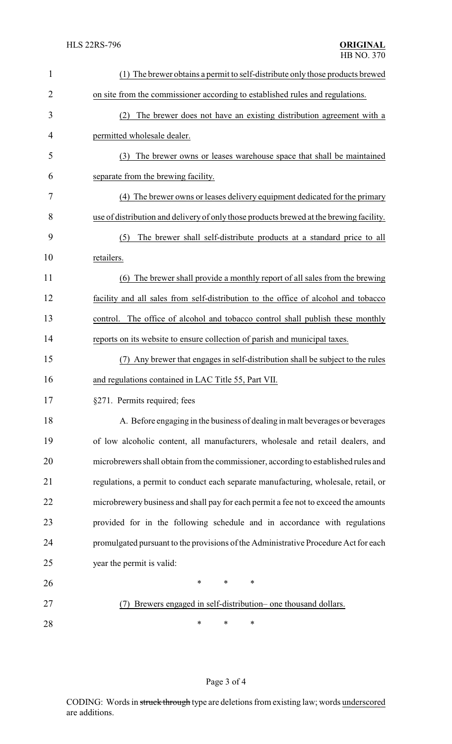| $\mathbf{1}$   | (1) The brewer obtains a permit to self-distribute only those products brewed           |
|----------------|-----------------------------------------------------------------------------------------|
| $\overline{2}$ | on site from the commissioner according to established rules and regulations.           |
| 3              | The brewer does not have an existing distribution agreement with a<br>(2)               |
| 4              | permitted wholesale dealer.                                                             |
| 5              | (3) The brewer owns or leases warehouse space that shall be maintained                  |
| 6              | separate from the brewing facility.                                                     |
| 7              | (4) The brewer owns or leases delivery equipment dedicated for the primary              |
| 8              | use of distribution and delivery of only those products brewed at the brewing facility. |
| 9              | The brewer shall self-distribute products at a standard price to all<br>(5)             |
| 10             | retailers.                                                                              |
| 11             | (6) The brewer shall provide a monthly report of all sales from the brewing             |
| 12             | facility and all sales from self-distribution to the office of alcohol and tobacco      |
| 13             | The office of alcohol and tobacco control shall publish these monthly<br>control.       |
| 14             | reports on its website to ensure collection of parish and municipal taxes.              |
| 15             | (7) Any brewer that engages in self-distribution shall be subject to the rules          |
| 16             | and regulations contained in LAC Title 55, Part VII.                                    |
| 17             | §271. Permits required; fees                                                            |
| 18             | A. Before engaging in the business of dealing in malt beverages or beverages            |
| 19             | of low alcoholic content, all manufacturers, wholesale and retail dealers, and          |
| 20             | microbrewers shall obtain from the commissioner, according to established rules and     |
| 21             | regulations, a permit to conduct each separate manufacturing, wholesale, retail, or     |
| 22             | microbrewery business and shall pay for each permit a fee not to exceed the amounts     |
| 23             | provided for in the following schedule and in accordance with regulations               |
| 24             | promulgated pursuant to the provisions of the Administrative Procedure Act for each     |
| 25             | year the permit is valid:                                                               |
| 26             | ∗<br>∗<br>∗                                                                             |
| 27             | Brewers engaged in self-distribution- one thousand dollars.                             |
| 28             | ∗<br>∗<br>∗                                                                             |

# Page 3 of 4